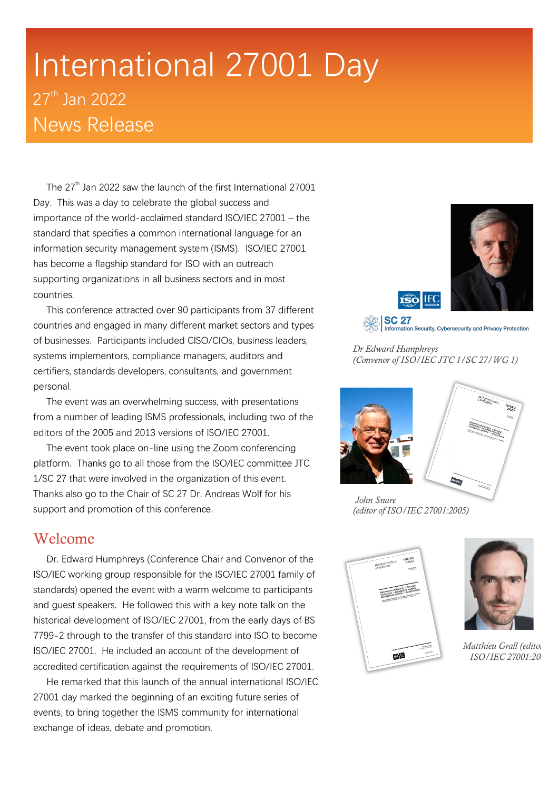# International 27001 Day 27<sup>th</sup> Jan 2022 News Release

The  $27<sup>th</sup>$  Jan 2022 saw the launch of the first International 27001 Day. This was a day to celebrate the global success and importance of the world-acclaimed standard ISO/IEC 27001 – the standard that specifies a common international language for an information security management system (ISMS). ISO/IEC 27001 has become a flagship standard for ISO with an outreach supporting organizations in all business sectors and in most countries.

This conference attracted over 90 participants from 37 different countries and engaged in many different market sectors and types of businesses. Participants included CISO/CIOs, business leaders, systems implementors, compliance managers, auditors and certifiers, standards developers, consultants, and government personal.

The event was an overwhelming success, with presentations from a number of leading ISMS professionals, including two of the editors of the 2005 and 2013 versions of ISO/IEC 27001.

The event took place on-line using the Zoom conferencing platform. Thanks go to all those from the ISO/IEC committee JTC 1/SC 27 that were involved in the organization of this event. Thanks also go to the Chair of SC 27 Dr. Andreas Wolf for his support and promotion of this conference.

#### Welcome

Dr. Edward Humphreys (Conference Chair and Convenor of the ISO/IEC working group responsible for the ISO/IEC 27001 family of standards) opened the event with a warm welcome to participants and guest speakers. He followed this with a key note talk on the historical development of ISO/IEC 27001, from the early days of BS 7799-2 through to the transfer of this standard into ISO to become ISO/IEC 27001. He included an account of the development of accredited certification against the requirements of ISO/IEC 27001.

He remarked that this launch of the annual international ISO/IEC 27001 day marked the beginning of an exciting future series of events, to bring together the ISMS community for international exchange of ideas, debate and promotion.



*Dr Edward Humphreys (Convenor of ISO/IEC JTC 1/SC 27/WG 1)*

Information Security, Cybersecurity and Privacy Protection

**SC 27** 



*John Snare (editor of ISO/IEC 27001:2005)* 





*Matthieu Grall (editoridie) ISO/IEC 27001:2005)*